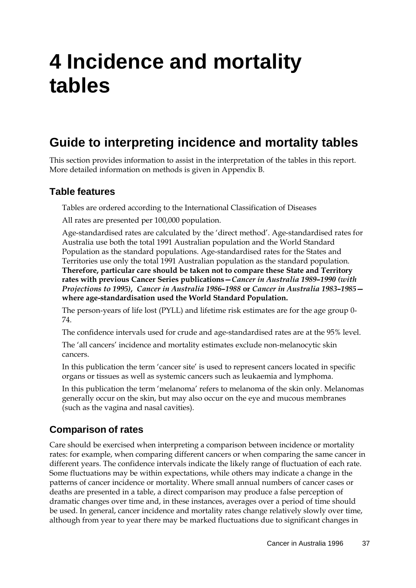# **4 Incidence and mortality tables**

## **Guide to interpreting incidence and mortality tables**

This section provides information to assist in the interpretation of the tables in this report. More detailed information on methods is given in Appendix B.

#### **Table features**

Tables are ordered according to the International Classification of Diseases

All rates are presented per 100,000 population.

Age-standardised rates are calculated by the 'direct method'. Age-standardised rates for Australia use both the total 1991 Australian population and the World Standard Population as the standard populations. Age-standardised rates for the States and Territories use only the total 1991 Australian population as the standard population. **Therefore, particular care should be taken not to compare these State and Territory rates with previous Cancer Series publications—***Cancer in Australia 1989–1990 (with Projections to 1995)***,** *Cancer in Australia 1986–1988* **or** *Cancer in Australia 1983–1985* **where age-standardisation used the World Standard Population.**

The person-years of life lost (PYLL) and lifetime risk estimates are for the age group 0- 74.

The confidence intervals used for crude and age-standardised rates are at the 95% level.

The 'all cancers' incidence and mortality estimates exclude non-melanocytic skin cancers.

In this publication the term 'cancer site' is used to represent cancers located in specific organs or tissues as well as systemic cancers such as leukaemia and lymphoma.

In this publication the term 'melanoma' refers to melanoma of the skin only. Melanomas generally occur on the skin, but may also occur on the eye and mucous membranes (such as the vagina and nasal cavities).

#### **Comparison of rates**

Care should be exercised when interpreting a comparison between incidence or mortality rates: for example, when comparing different cancers or when comparing the same cancer in different years. The confidence intervals indicate the likely range of fluctuation of each rate. Some fluctuations may be within expectations, while others may indicate a change in the patterns of cancer incidence or mortality. Where small annual numbers of cancer cases or deaths are presented in a table, a direct comparison may produce a false perception of dramatic changes over time and, in these instances, averages over a period of time should be used. In general, cancer incidence and mortality rates change relatively slowly over time, although from year to year there may be marked fluctuations due to significant changes in